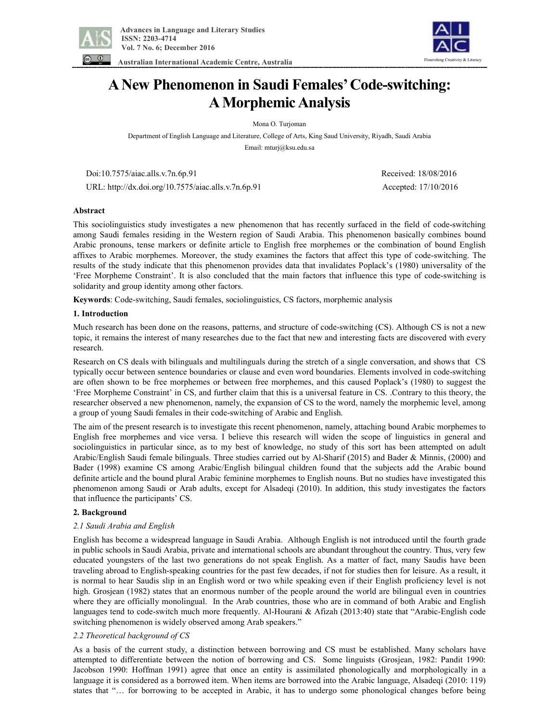

 **Australian International Academic Centre, Australia** 



# **ANew Phenomenon in Saudi Females'Code-switching: AMorphemic Analysis**

Mona O. Turjoman

Department of English Language and Literature, College of Arts, King Saud University, Riyadh, Saudi Arabia

Email: mturj@ksu.edu.sa

Doi:10.7575/aiac.alls.v.7n.6p.91 Received: 18/08/2016

URL: http://dx.doi.org/10.7575/aiac.alls.v.7n.6p.91 Accepted: 17/10/2016

## **Abstract**

This sociolinguistics study investigates a new phenomenon that has recently surfaced in the field of code-switching among Saudi females residing in the Western region of Saudi Arabia. This phenomenon basically combines bound Arabic pronouns, tense markers or definite article to English free morphemes or the combination of bound English affixes to Arabic morphemes. Moreover, the study examines the factors that affect this type of code-switching. The results of the study indicate that this phenomenon provides data that invalidates Poplack's (1980) universality of the 'Free Morpheme Constraint'. It is also concluded that the main factors that influence this type of code-switching is solidarity and group identity among other factors.

**Keywords**: Code-switching, Saudi females, sociolinguistics, CS factors, morphemic analysis

## **1. Introduction**

Much research has been done on the reasons, patterns, and structure of code-switching (CS). Although CS is not a new topic, it remains the interest of many researches due to the fact that new and interesting facts are discovered with every research.

Research on CS deals with bilinguals and multilinguals during the stretch of a single conversation, and shows that CS typically occur between sentence boundaries or clause and even word boundaries. Elements involved in code-switching are often shown to be free morphemes or between free morphemes, and this caused Poplack's (1980) to suggest the 'Free Morpheme Constraint' in CS, and further claim that this is a universal feature in CS. .Contrary to this theory, the researcher observed a new phenomenon, namely, the expansion of CS to the word, namely the morphemic level, among a group of young Saudi females in their code-switching of Arabic and English.

The aim of the present research is to investigate this recent phenomenon, namely, attaching bound Arabic morphemes to English free morphemes and vice versa. I believe this research will widen the scope of linguistics in general and sociolinguistics in particular since, as to my best of knowledge, no study of this sort has been attempted on adult Arabic/English Saudi female bilinguals. Three studies carried out by Al-Sharif (2015) and Bader & Minnis, (2000) and Bader (1998) examine CS among Arabic/English bilingual children found that the subjects add the Arabic bound definite article and the bound plural Arabic feminine morphemes to English nouns. But no studies have investigated this phenomenon among Saudi or Arab adults, except for Alsadeqi (2010). In addition, this study investigates the factors that influence the participants' CS.

#### **2. Background**

# *2.1 Saudi Arabia and English*

English has become a widespread language in Saudi Arabia. Although English is not introduced until the fourth grade in public schools in Saudi Arabia, private and international schools are abundant throughout the country. Thus, very few educated youngsters of the last two generations do not speak English. As a matter of fact, many Saudis have been traveling abroad to English-speaking countries for the past few decades, if not for studies then for leisure. As a result, it is normal to hear Saudis slip in an English word or two while speaking even if their English proficiency level is not high. Grosjean (1982) states that an enormous number of the people around the world are bilingual even in countries where they are officially monolingual. In the Arab countries, those who are in command of both Arabic and English languages tend to code-switch much more frequently. Al-Hourani & Afizah (2013:40) state that "Arabic-English code switching phenomenon is widely observed among Arab speakers."

# *2.2 Theoretical background of CS*

As a basis of the current study, a distinction between borrowing and CS must be established. Many scholars have attempted to differentiate between the notion of borrowing and CS. Some linguists (Grosjean, 1982: Pandit 1990: Jacobson 1990: Hoffman 1991) agree that once an entity is assimilated phonologically and morphologically in a language it is considered as a borrowed item. When items are borrowed into the Arabic language, Alsadeqi (2010: 119) states that "… for borrowing to be accepted in Arabic, it has to undergo some phonological changes before being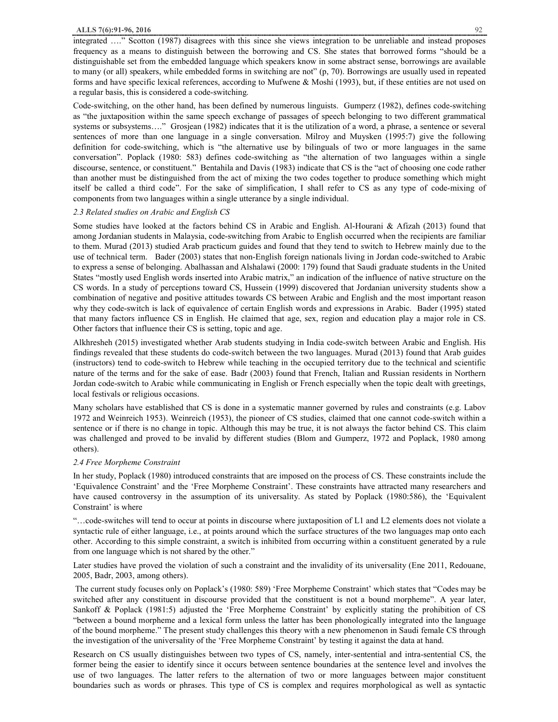integrated …." Scotton (1987) disagrees with this since she views integration to be unreliable and instead proposes frequency as a means to distinguish between the borrowing and CS. She states that borrowed forms "should be a distinguishable set from the embedded language which speakers know in some abstract sense, borrowings are available to many (or all) speakers, while embedded forms in switching are not" (p, 70). Borrowings are usually used in repeated forms and have specific lexical references, according to Mufwene  $\&$  Moshi (1993), but, if these entities are not used on a regular basis, this is considered a code-switching.

Code-switching, on the other hand, has been defined by numerous linguists. Gumperz (1982), defines code-switching as "the juxtaposition within the same speech exchange of passages of speech belonging to two different grammatical systems or subsystems...." Grosjean (1982) indicates that it is the utilization of a word, a phrase, a sentence or several sentences of more than one language in a single conversation. Milroy and Muysken (1995:7) give the following definition for code-switching, which is "the alternative use by bilinguals of two or more languages in the same conversation". Poplack (1980: 583) defines code-switching as "the alternation of two languages within a single discourse, sentence, or constituent." Bentahila and Davis (1983) indicate that CS is the "act of choosing one code rather than another must be distinguished from the act of mixing the two codes together to produce something which might itself be called a third code". For the sake of simplification, I shall refer to CS as any type of code-mixing of components from two languages within a single utterance by a single individual.

#### *2.3 Related studies on Arabic and English CS*

Some studies have looked at the factors behind CS in Arabic and English. Al-Hourani & Afizah (2013) found that among Jordanian students in Malaysia, code-switching from Arabic to English occurred when the recipients are familiar to them. Murad (2013) studied Arab practicum guides and found that they tend to switch to Hebrew mainly due to the use of technical term. Bader (2003) states that non-English foreign nationals living in Jordan code-switched to Arabic to express a sense of belonging. Abalhassan and Alshalawi (2000: 179) found that Saudi graduate students in the United States "mostly used English words inserted into Arabic matrix," an indication of the influence of native structure on the CS words. In a study of perceptions toward CS, Hussein (1999) discovered that Jordanian university students show a combination of negative and positive attitudes towards CS between Arabic and English and the most important reason why they code-switch is lack of equivalence of certain English words and expressions in Arabic. Bader (1995) stated that many factors influence CS in English. He claimed that age, sex, region and education play a major role in CS. Other factors that influence their CS is setting, topic and age.

Alkhresheh (2015) investigated whether Arab students studying in India code-switch between Arabic and English. His findings revealed that these students do code-switch between the two languages. Murad (2013) found that Arab guides (instructors) tend to code-switch to Hebrew while teaching in the occupied territory due to the technical and scientific nature of the terms and for the sake of ease. Badr (2003) found that French, Italian and Russian residents in Northern Jordan code-switch to Arabic while communicating in English or French especially when the topic dealt with greetings, local festivals or religious occasions.

Many scholars have established that CS is done in a systematic manner governed by rules and constraints (e.g. Labov 1972 and Weinreich 1953). Weinreich (1953), the pioneer of CS studies, claimed that one cannot code-switch within a sentence or if there is no change in topic. Although this may be true, it is not always the factor behind CS. This claim was challenged and proved to be invalid by different studies (Blom and Gumperz, 1972 and Poplack, 1980 among others).

#### *2.4 Free Morpheme Constraint*

In her study, Poplack (1980) introduced constraints that are imposed on the process of CS. These constraints include the 'Equivalence Constraint' and the 'Free Morpheme Constraint'. These constraints have attracted many researchers and have caused controversy in the assumption of its universality. As stated by Poplack (1980:586), the 'Equivalent Constraint' is where

"…code-switches will tend to occur at points in discourse where juxtaposition of L1 and L2 elements does not violate a syntactic rule of either language, i.e., at points around which the surface structures of the two languages map onto each other. According to this simple constraint, a switch is inhibited from occurring within a constituent generated by a rule from one language which is not shared by the other."

Later studies have proved the violation of such a constraint and the invalidity of its universality (Ene 2011, Redouane, 2005, Badr, 2003, among others).

 The current study focuses only on Poplack's (1980: 589) 'Free Morpheme Constraint' which states that "Codes may be switched after any constituent in discourse provided that the constituent is not a bound morpheme". A year later, Sankoff & Poplack (1981:5) adjusted the 'Free Morpheme Constraint' by explicitly stating the prohibition of CS "between a bound morpheme and a lexical form unless the latter has been phonologically integrated into the language of the bound morpheme." The present study challenges this theory with a new phenomenon in Saudi female CS through the investigation of the universality of the 'Free Morpheme Constraint' by testing it against the data at hand.

Research on CS usually distinguishes between two types of CS, namely, inter-sentential and intra-sentential CS, the former being the easier to identify since it occurs between sentence boundaries at the sentence level and involves the use of two languages. The latter refers to the alternation of two or more languages between major constituent boundaries such as words or phrases. This type of CS is complex and requires morphological as well as syntactic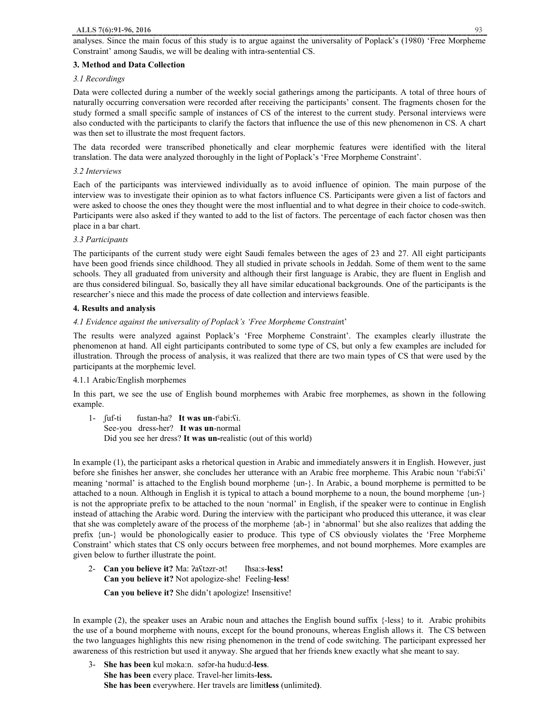analyses. Since the main focus of this study is to argue against the universality of Poplack's (1980) 'Free Morpheme Constraint' among Saudis, we will be dealing with intra-sentential CS.

## **3. Method and Data Collection**

## *3.1 Recordings*

Data were collected during a number of the weekly social gatherings among the participants. A total of three hours of naturally occurring conversation were recorded after receiving the participants' consent. The fragments chosen for the study formed a small specific sample of instances of CS of the interest to the current study. Personal interviews were also conducted with the participants to clarify the factors that influence the use of this new phenomenon in CS. A chart was then set to illustrate the most frequent factors.

The data recorded were transcribed phonetically and clear morphemic features were identified with the literal translation. The data were analyzed thoroughly in the light of Poplack's 'Free Morpheme Constraint'.

## *3.2 Interviews*

Each of the participants was interviewed individually as to avoid influence of opinion. The main purpose of the interview was to investigate their opinion as to what factors influence CS. Participants were given a list of factors and were asked to choose the ones they thought were the most influential and to what degree in their choice to code-switch. Participants were also asked if they wanted to add to the list of factors. The percentage of each factor chosen was then place in a bar chart.

## *3.3 Participants*

The participants of the current study were eight Saudi females between the ages of 23 and 27. All eight participants have been good friends since childhood. They all studied in private schools in Jeddah. Some of them went to the same schools. They all graduated from university and although their first language is Arabic, they are fluent in English and are thus considered bilingual. So, basically they all have similar educational backgrounds. One of the participants is the researcher's niece and this made the process of date collection and interviews feasible.

## **4. Results and analysis**

## *4.1 Evidence against the universality of Poplack's 'Free Morpheme Constrain*t'

The results were analyzed against Poplack's 'Free Morpheme Constraint'. The examples clearly illustrate the phenomenon at hand. All eight participants contributed to some type of CS, but only a few examples are included for illustration. Through the process of analysis, it was realized that there are two main types of CS that were used by the participants at the morphemic level.

#### 4.1.1 Arabic/English morphemes

In this part, we see the use of English bound morphemes with Arabic free morphemes, as shown in the following example.

1- ʃuf-ti fustan-ha? **It was un**-tˤabi:ʕi. See-you dress-her? **It was un**-normal Did you see her dress? **It was un-**realistic (out of this world)

In example (1), the participant asks a rhetorical question in Arabic and immediately answers it in English. However, just before she finishes her answer, she concludes her utterance with an Arabic free morpheme. This Arabic noun 'tˤabi:ʕi' meaning 'normal' is attached to the English bound morpheme {un-}. In Arabic, a bound morpheme is permitted to be attached to a noun. Although in English it is typical to attach a bound morpheme to a noun, the bound morpheme {un-} is not the appropriate prefix to be attached to the noun 'normal' in English, if the speaker were to continue in English instead of attaching the Arabic word. During the interview with the participant who produced this utterance, it was clear that she was completely aware of the process of the morpheme {ab-} in 'abnormal' but she also realizes that adding the prefix {un-} would be phonologically easier to produce. This type of CS obviously violates the 'Free Morpheme Constraint' which states that CS only occurs between free morphemes, and not bound morphemes. More examples are given below to further illustrate the point.

2- **Can you believe it?** Ma: ʔaʕtǝzr-ǝt! Iħsa:s-**less! Can you believe it?** Not apologize-she! Feeling-**less**! **Can you believe it?** She didn't apologize! Insensitive!

In example (2), the speaker uses an Arabic noun and attaches the English bound suffix {-less} to it. Arabic prohibits the use of a bound morpheme with nouns, except for the bound pronouns, whereas English allows it. The CS between the two languages highlights this new rising phenomenon in the trend of code switching. The participant expressed her awareness of this restriction but used it anyway. She argued that her friends knew exactly what she meant to say.

3- **She has been** kul mǝka:n. sǝfǝr-ha ħudu:d-**less**. **She has been** every place. Travel-her limits-**less. She has been** everywhere. Her travels are limit**less** (unlimited**)**.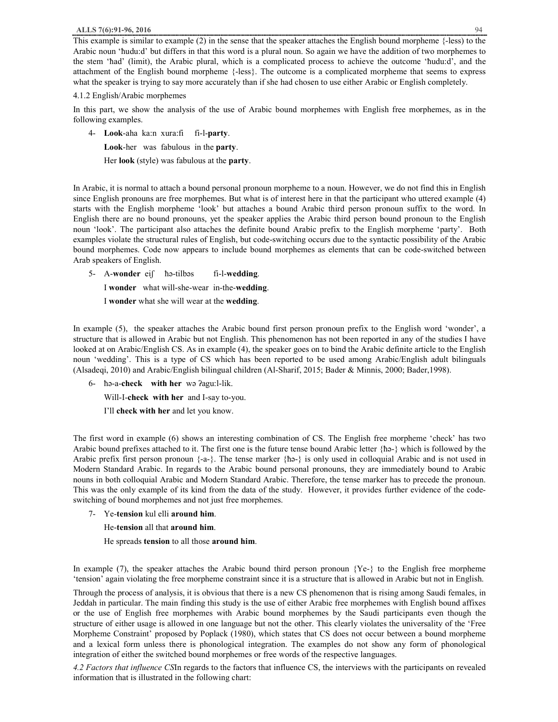This example is similar to example  $(2)$  in the sense that the speaker attaches the English bound morpheme  $\{-less\}$ Arabic noun 'ħudu:d' but differs in that this word is a plural noun. So again we have the addition of two morphemes to the stem 'ħad' (limit), the Arabic plural, which is a complicated process to achieve the outcome 'ħudu:d', and the attachment of the English bound morpheme {-less}. The outcome is a complicated morpheme that seems to express what the speaker is trying to say more accurately than if she had chosen to use either Arabic or English completely.

#### 4.1.2 English/Arabic morphemes

In this part, we show the analysis of the use of Arabic bound morphemes with English free morphemes, as in the following examples.

- 4- **Look**-aha ka:n xura:fi fi-l-**party**.
	- **Look**-her was fabulous in the **party**.

Her **look** (style) was fabulous at the **party**.

In Arabic, it is normal to attach a bound personal pronoun morpheme to a noun. However, we do not find this in English since English pronouns are free morphemes. But what is of interest here in that the participant who uttered example (4) starts with the English morpheme 'look' but attaches a bound Arabic third person pronoun suffix to the word. In English there are no bound pronouns, yet the speaker applies the Arabic third person bound pronoun to the English noun 'look'. The participant also attaches the definite bound Arabic prefix to the English morpheme 'party'. Both examples violate the structural rules of English, but code-switching occurs due to the syntactic possibility of the Arabic bound morphemes. Code now appears to include bound morphemes as elements that can be code-switched between Arab speakers of English.

5- A-**wonder** eiʃ ħǝ-tilbǝs fi-l-**wedding**. I **wonder** what will-she-wear in-the-**wedding**. I **wonder** what she will wear at the **wedding**.

In example (5), the speaker attaches the Arabic bound first person pronoun prefix to the English word 'wonder', a structure that is allowed in Arabic but not English. This phenomenon has not been reported in any of the studies I have looked at on Arabic/English CS. As in example (4), the speaker goes on to bind the Arabic definite article to the English noun 'wedding'. This is a type of CS which has been reported to be used among Arabic/English adult bilinguals (Alsadeqi, 2010) and Arabic/English bilingual children (Al-Sharif, 2015; Bader & Minnis, 2000; Bader,1998).

6- ħǝ-a-**check with her** wǝ ʔagu:l-lik.

Will-I-**check with her** and I-say to-you.

I'll **check with her** and let you know.

The first word in example (6) shows an interesting combination of CS. The English free morpheme 'check' has two Arabic bound prefixes attached to it. The first one is the future tense bound Arabic letter {ħǝ-} which is followed by the Arabic prefix first person pronoun  $\{-a-\}$ . The tense marker  $\{\hbar$ α- $\}$  is only used in colloquial Arabic and is not used in Modern Standard Arabic. In regards to the Arabic bound personal pronouns, they are immediately bound to Arabic nouns in both colloquial Arabic and Modern Standard Arabic. Therefore, the tense marker has to precede the pronoun. This was the only example of its kind from the data of the study. However, it provides further evidence of the codeswitching of bound morphemes and not just free morphemes.

- 7- Ye-**tension** kul elli **around him**.
	- He-**tension** all that **around him**.
	- He spreads **tension** to all those **around him**.

In example (7), the speaker attaches the Arabic bound third person pronoun {Ye-} to the English free morpheme 'tension' again violating the free morpheme constraint since it is a structure that is allowed in Arabic but not in English.

Through the process of analysis, it is obvious that there is a new CS phenomenon that is rising among Saudi females, in Jeddah in particular. The main finding this study is the use of either Arabic free morphemes with English bound affixes or the use of English free morphemes with Arabic bound morphemes by the Saudi participants even though the structure of either usage is allowed in one language but not the other. This clearly violates the universality of the 'Free Morpheme Constraint' proposed by Poplack (1980), which states that CS does not occur between a bound morpheme and a lexical form unless there is phonological integration. The examples do not show any form of phonological integration of either the switched bound morphemes or free words of the respective languages.

*4.2 Factors that influence CS*In regards to the factors that influence CS, the interviews with the participants on revealed information that is illustrated in the following chart: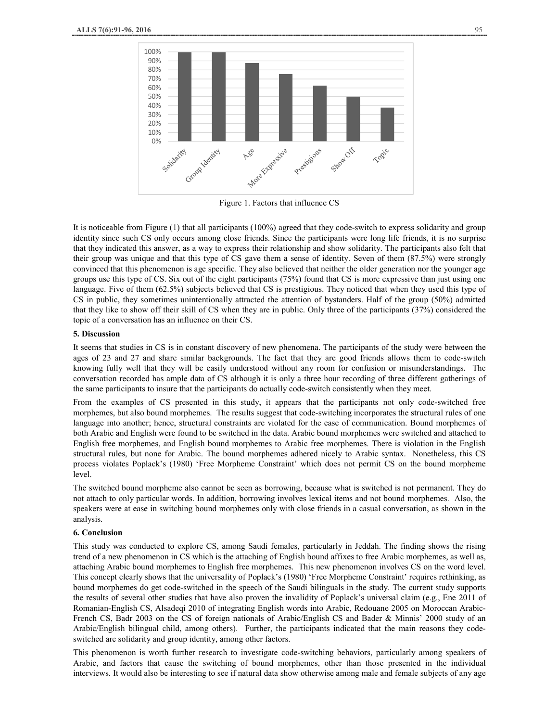

Figure 1. Factors that influence CS

It is noticeable from Figure (1) that all participants (100%) agreed that they code-switch to express solidarity and group identity since such CS only occurs among close friends. Since the participants were long life friends, it is no surprise that they indicated this answer, as a way to express their relationship and show solidarity. The participants also felt that their group was unique and that this type of CS gave them a sense of identity. Seven of them (87.5%) were strongly convinced that this phenomenon is age specific. They also believed that neither the older generation nor the younger age groups use this type of CS. Six out of the eight participants (75%) found that CS is more expressive than just using one language. Five of them (62.5%) subjects believed that CS is prestigious. They noticed that when they used this type of CS in public, they sometimes unintentionally attracted the attention of bystanders. Half of the group (50%) admitted that they like to show off their skill of CS when they are in public. Only three of the participants (37%) considered the topic of a conversation has an influence on their CS.

#### **5. Discussion**

It seems that studies in CS is in constant discovery of new phenomena. The participants of the study were between the ages of 23 and 27 and share similar backgrounds. The fact that they are good friends allows them to code-switch knowing fully well that they will be easily understood without any room for confusion or misunderstandings. The conversation recorded has ample data of CS although it is only a three hour recording of three different gatherings of the same participants to insure that the participants do actually code-switch consistently when they meet.

From the examples of CS presented in this study, it appears that the participants not only code-switched free morphemes, but also bound morphemes. The results suggest that code-switching incorporates the structural rules of one language into another; hence, structural constraints are violated for the ease of communication. Bound morphemes of both Arabic and English were found to be switched in the data. Arabic bound morphemes were switched and attached to English free morphemes, and English bound morphemes to Arabic free morphemes. There is violation in the English structural rules, but none for Arabic. The bound morphemes adhered nicely to Arabic syntax. Nonetheless, this CS process violates Poplack's (1980) 'Free Morpheme Constraint' which does not permit CS on the bound morpheme level.

The switched bound morpheme also cannot be seen as borrowing, because what is switched is not permanent. They do not attach to only particular words. In addition, borrowing involves lexical items and not bound morphemes. Also, the speakers were at ease in switching bound morphemes only with close friends in a casual conversation, as shown in the analysis.

## **6. Conclusion**

This study was conducted to explore CS, among Saudi females, particularly in Jeddah. The finding shows the rising trend of a new phenomenon in CS which is the attaching of English bound affixes to free Arabic morphemes, as well as, attaching Arabic bound morphemes to English free morphemes. This new phenomenon involves CS on the word level. This concept clearly shows that the universality of Poplack's (1980) 'Free Morpheme Constraint' requires rethinking, as bound morphemes do get code-switched in the speech of the Saudi bilinguals in the study. The current study supports the results of several other studies that have also proven the invalidity of Poplack's universal claim (e.g., Ene 2011 of Romanian-English CS, Alsadeqi 2010 of integrating English words into Arabic, Redouane 2005 on Moroccan Arabic-French CS, Badr 2003 on the CS of foreign nationals of Arabic/English CS and Bader & Minnis' 2000 study of an Arabic/English bilingual child, among others). Further, the participants indicated that the main reasons they codeswitched are solidarity and group identity, among other factors.

This phenomenon is worth further research to investigate code-switching behaviors, particularly among speakers of Arabic, and factors that cause the switching of bound morphemes, other than those presented in the individual interviews. It would also be interesting to see if natural data show otherwise among male and female subjects of any age